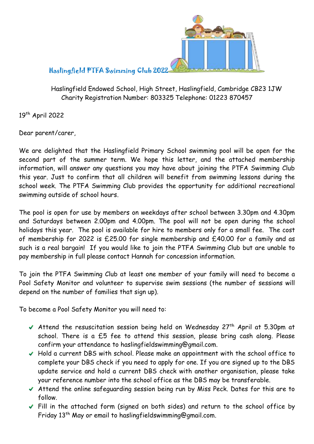

## Haslingfield PTFA Swimming Club 2022

Haslingfield Endowed School, High Street, Haslingfield, Cambridge CB23 1JW Charity Registration Number: 803325 Telephone: 01223 870457

19th April 2022

Dear parent/carer,

We are delighted that the Haslingfield Primary School swimming pool will be open for the second part of the summer term. We hope this letter, and the attached membership information, will answer any questions you may have about joining the PTFA Swimming Club this year. Just to confirm that all children will benefit from swimming lessons during the school week. The PTFA Swimming Club provides the opportunity for additional recreational swimming outside of school hours.

The pool is open for use by members on weekdays after school between 3.30pm and 4.30pm and Saturdays between 2.00pm and 4.00pm. The pool will not be open during the school holidays this year. The pool is available for hire to members only for a small fee. The cost of membership for 2022 is £25.00 for single membership and £40.00 for a family and as such is a real bargain! If you would like to join the PTFA Swimming Club but are unable to pay membership in full please contact Hannah for concession information.

To join the PTFA Swimming Club at least one member of your family will need to become a Pool Safety Monitor and volunteer to supervise swim sessions (the number of sessions will depend on the number of families that sign up).

To become a Pool Safety Monitor you will need to:

- Attend the resuscitation session being held on Wednesday  $27<sup>th</sup>$  April at 5.30pm at school. There is a £5 fee to attend this session, please bring cash along. Please confirm your attendance to haslingfieldswimming@gmail.com.
- Hold a current DBS with school. Please make an appointment with the school office to complete your DBS check if you need to apply for one. If you are signed up to the DBS update service and hold a current DBS check with another organisation, please take your reference number into the school office as the DBS may be transferable.
- Attend the online safeguarding session being run by Miss Peck. Dates for this are to follow.
- Fill in the attached form (signed on both sides) and return to the school office by Friday 13<sup>th</sup> May or email to haslingfieldswimming@gmail.com.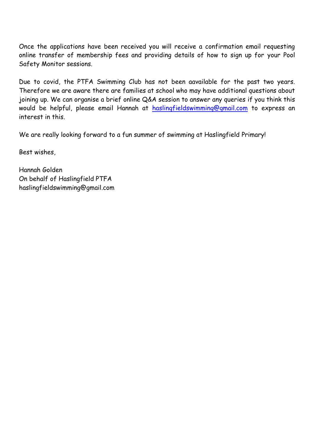Once the applications have been received you will receive a confirmation email requesting online transfer of membership fees and providing details of how to sign up for your Pool Safety Monitor sessions.

Due to covid, the PTFA Swimming Club has not been aavailable for the past two years. Therefore we are aware there are families at school who may have additional questions about joining up. We can organise a brief online Q&A session to answer any queries if you think this would be helpful, please email Hannah at [haslingfieldswimming@gmail.com](mailto:haslingfieldswimming@gmail.com) to express an interest in this.

We are really looking forward to a fun summer of swimming at Haslingfield Primary!

Best wishes,

Hannah Golden On behalf of Haslingfield PTFA haslingfieldswimming@gmail.com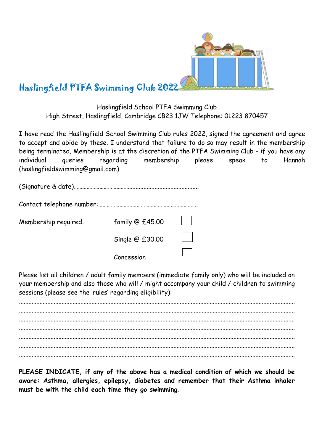

## Haslingfield PTFA Swimming Club 2022

Haslingfield School PTFA Swimming Club High Street, Haslingfield, Cambridge CB23 1JW Telephone: 01223 870457

I have read the Haslingfield School Swimming Club rules 2022, signed the agreement and agree to accept and abide by these. I understand that failure to do so may result in the membership being terminated. Membership is at the discretion of the PTFA Swimming Club – if you have any individual queries regarding membership please speak to Hannah (haslingfieldswimming@gmail.com).

| Membership required: | family @ £45.00 |  |
|----------------------|-----------------|--|
|                      | Single @ £30.00 |  |
|                      | Concession      |  |

Please list all children / adult family members (immediate family only) who will be included on your membership and also those who will / might accompany your child / children to swimming sessions (please see the 'rules' regarding eligibility):

............................................................................................................................................................................... ............................................................................................................................................................................... ............................................................................................................................................................................... ............................................................................................................................................................................... ............................................................................................................................................................................... ............................................................................................................................................................................... ...............................................................................................................................................................................

**PLEASE INDICATE, if any of the above has a medical condition of which we should be aware: Asthma, allergies, epilepsy, diabetes and remember that their Asthma inhaler must be with the child each time they go swimming**.